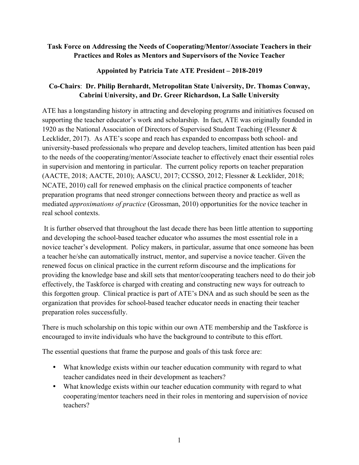## **Task Force on Addressing the Needs of Cooperating/Mentor/Associate Teachers in their Practices and Roles as Mentors and Supervisors of the Novice Teacher**

## **Appointed by Patricia Tate ATE President – 2018-2019**

## **Co-Chairs**: **Dr. Philip Bernhardt, Metropolitan State University, Dr. Thomas Conway, Cabrini University, and Dr. Greer Richardson, La Salle University**

ATE has a longstanding history in attracting and developing programs and initiatives focused on supporting the teacher educator's work and scholarship. In fact, ATE was originally founded in 1920 as the National Association of Directors of Supervised Student Teaching (Flessner & Lecklider, 2017). As ATE's scope and reach has expanded to encompass both school- and university-based professionals who prepare and develop teachers, limited attention has been paid to the needs of the cooperating/mentor/Associate teacher to effectively enact their essential roles in supervision and mentoring in particular. The current policy reports on teacher preparation (AACTE, 2018; AACTE, 2010); AASCU, 2017; CCSSO, 2012; Flessner & Lecklider, 2018; NCATE, 2010) call for renewed emphasis on the clinical practice components of teacher preparation programs that need stronger connections between theory and practice as well as mediated *approximations of practice* (Grossman, 2010) opportunities for the novice teacher in real school contexts.

It is further observed that throughout the last decade there has been little attention to supporting and developing the school-based teacher educator who assumes the most essential role in a novice teacher's development. Policy makers, in particular, assume that once someone has been a teacher he/she can automatically instruct, mentor, and supervise a novice teacher. Given the renewed focus on clinical practice in the current reform discourse and the implications for providing the knowledge base and skill sets that mentor/cooperating teachers need to do their job effectively, the Taskforce is charged with creating and constructing new ways for outreach to this forgotten group. Clinical practice is part of ATE's DNA and as such should be seen as the organization that provides for school-based teacher educator needs in enacting their teacher preparation roles successfully.

There is much scholarship on this topic within our own ATE membership and the Taskforce is encouraged to invite individuals who have the background to contribute to this effort.

The essential questions that frame the purpose and goals of this task force are:

- What knowledge exists within our teacher education community with regard to what teacher candidates need in their development as teachers?
- What knowledge exists within our teacher education community with regard to what cooperating/mentor teachers need in their roles in mentoring and supervision of novice teachers?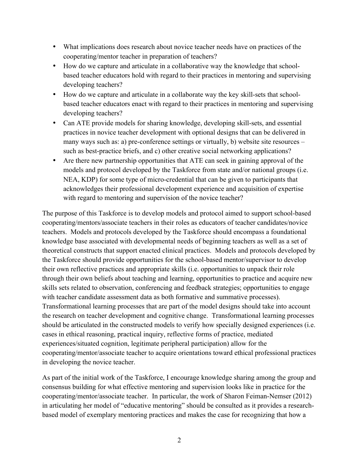- What implications does research about novice teacher needs have on practices of the cooperating/mentor teacher in preparation of teachers?
- How do we capture and articulate in a collaborative way the knowledge that schoolbased teacher educators hold with regard to their practices in mentoring and supervising developing teachers?
- How do we capture and articulate in a collaborate way the key skill-sets that schoolbased teacher educators enact with regard to their practices in mentoring and supervising developing teachers?
- Can ATE provide models for sharing knowledge, developing skill-sets, and essential practices in novice teacher development with optional designs that can be delivered in many ways such as: a) pre-conference settings or virtually, b) website site resources – such as best-practice briefs, and c) other creative social networking applications?
- Are there new partnership opportunities that ATE can seek in gaining approval of the models and protocol developed by the Taskforce from state and/or national groups (i.e. NEA, KDP) for some type of micro-credential that can be given to participants that acknowledges their professional development experience and acquisition of expertise with regard to mentoring and supervision of the novice teacher?

The purpose of this Taskforce is to develop models and protocol aimed to support school-based cooperating/mentors/associate teachers in their roles as educators of teacher candidates/novice teachers. Models and protocols developed by the Taskforce should encompass a foundational knowledge base associated with developmental needs of beginning teachers as well as a set of theoretical constructs that support enacted clinical practices. Models and protocols developed by the Taskforce should provide opportunities for the school-based mentor/supervisor to develop their own reflective practices and appropriate skills (i.e. opportunities to unpack their role through their own beliefs about teaching and learning, opportunities to practice and acquire new skills sets related to observation, conferencing and feedback strategies; opportunities to engage with teacher candidate assessment data as both formative and summative processes). Transformational learning processes that are part of the model designs should take into account the research on teacher development and cognitive change. Transformational learning processes should be articulated in the constructed models to verify how specially designed experiences (i.e. cases in ethical reasoning, practical inquiry, reflective forms of practice, mediated experiences/situated cognition, legitimate peripheral participation) allow for the cooperating/mentor/associate teacher to acquire orientations toward ethical professional practices in developing the novice teacher.

As part of the initial work of the Taskforce, I encourage knowledge sharing among the group and consensus building for what effective mentoring and supervision looks like in practice for the cooperating/mentor/associate teacher. In particular, the work of Sharon Feiman-Nemser (2012) in articulating her model of "educative mentoring" should be consulted as it provides a researchbased model of exemplary mentoring practices and makes the case for recognizing that how a